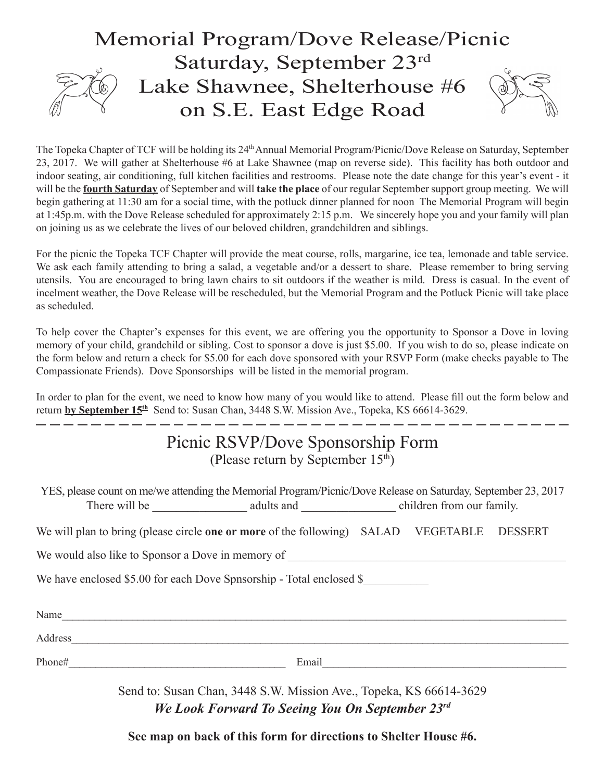## Memorial Program/Dove Release/Picnic Saturday, September 23rd Lake Shawnee, Shelterhouse #6 on S.E. East Edge Road

The Topeka Chapter of TCF will be holding its 24<sup>th</sup> Annual Memorial Program/Picnic/Dove Release on Saturday, September 23, 2017. We will gather at Shelterhouse #6 at Lake Shawnee (map on reverse side). This facility has both outdoor and indoor seating, air conditioning, full kitchen facilities and restrooms. Please note the date change for this year's event - it will be the **fourth Saturday** of September and will **take the place** of our regular September support group meeting. We will begin gathering at 11:30 am for a social time, with the potluck dinner planned for noon The Memorial Program will begin at 1:45p.m. with the Dove Release scheduled for approximately 2:15 p.m. We sincerely hope you and your family will plan on joining us as we celebrate the lives of our beloved children, grandchildren and siblings.

For the picnic the Topeka TCF Chapter will provide the meat course, rolls, margarine, ice tea, lemonade and table service. We ask each family attending to bring a salad, a vegetable and/or a dessert to share. Please remember to bring serving utensils. You are encouraged to bring lawn chairs to sit outdoors if the weather is mild. Dress is casual. In the event of incelment weather, the Dove Release will be rescheduled, but the Memorial Program and the Potluck Picnic will take place as scheduled.

To help cover the Chapter's expenses for this event, we are offering you the opportunity to Sponsor a Dove in loving memory of your child, grandchild or sibling. Cost to sponsor a dove is just \$5.00. If you wish to do so, please indicate on the form below and return a check for \$5.00 for each dove sponsored with your RSVP Form (make checks payable to The Compassionate Friends). Dove Sponsorships will be listed in the memorial program.

In order to plan for the event, we need to know how many of you would like to attend. Please fill out the form below and return **by September 15th** Send to: Susan Chan, 3448 S.W. Mission Ave., Topeka, KS 66614-3629.

. \_\_ \_\_ \_\_ \_\_ \_\_ \_\_

## Picnic RSVP/Dove Sponsorship Form (Please return by September  $15<sup>th</sup>$ )

YES, please count on me/we attending the Memorial Program/Picnic/Dove Release on Saturday, September 23, 2017 There will be  $\qquad \qquad \text{ adults and} \qquad \qquad \text{children from our family.}$ 

We will plan to bring (please circle **one or more** of the following) SALAD VEGETABLE DESSERT

We would also like to Sponsor a Dove in memory of

We have enclosed \$5.00 for each Dove Spnsorship - Total enclosed \$

| Name    |       |
|---------|-------|
| Address |       |
| Phone#  | Email |

Send to: Susan Chan, 3448 S.W. Mission Ave., Topeka, KS 66614-3629 *We Look Forward To Seeing You On September 23rd*

**See map on back of this form for directions to Shelter House #6.**